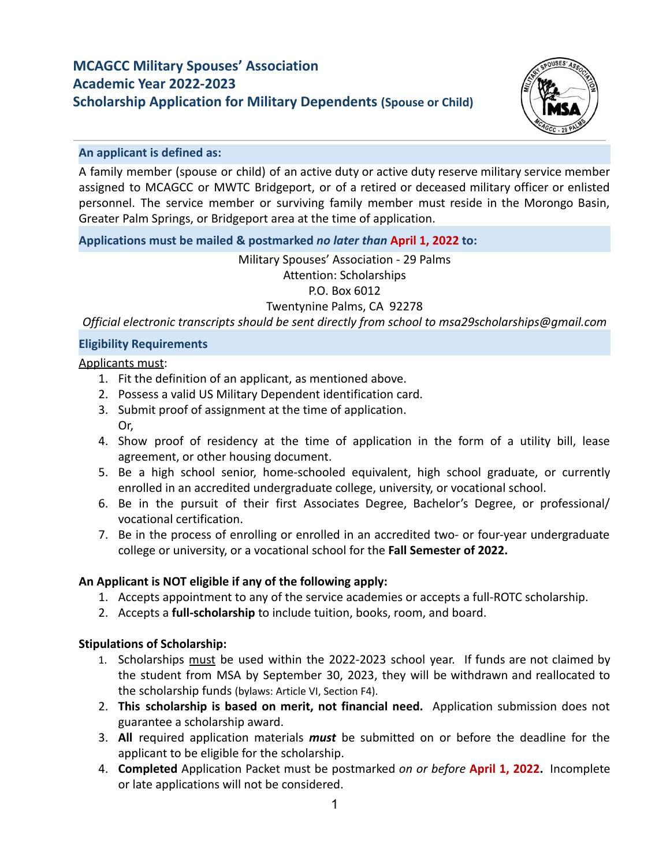# **MCAGCC Military Spouses' Association Academic Year 2022-2023 Scholarship Application for Military Dependents (Spouse or Child)**



## **An applicant is defined as:**

A family member (spouse or child) of an active duty or active duty reserve military service member assigned to MCAGCC or MWTC Bridgeport, or of a retired or deceased military officer or enlisted personnel. The service member or surviving family member must reside in the Morongo Basin, Greater Palm Springs, or Bridgeport area at the time of application.

# **Applications must be mailed & postmarked** *no later than* **April 1, 2022 to:**

# Military Spouses' Association - 29 Palms Attention: Scholarships P.O. Box 6012 Twentynine Palms, CA 92278

*Official electronic transcripts should be sent directly from school to msa29scholarships@gmail.com*

# **Eligibility Requirements**

# Applicants must:

- 1. Fit the definition of an applicant, as mentioned above.
- 2. Possess a valid US Military Dependent identification card.
- 3. Submit proof of assignment at the time of application. Or,
- 4. Show proof of residency at the time of application in the form of a utility bill, lease agreement, or other housing document.
- 5. Be a high school senior, home-schooled equivalent, high school graduate, or currently enrolled in an accredited undergraduate college, university, or vocational school.
- 6. Be in the pursuit of their first Associates Degree, Bachelor's Degree, or professional/ vocational certification.
- 7. Be in the process of enrolling or enrolled in an accredited two- or four-year undergraduate college or university, or a vocational school for the **Fall Semester of 2022.**

# **An Applicant is NOT eligible if any of the following apply:**

- 1. Accepts appointment to any of the service academies or accepts a full-ROTC scholarship.
- 2. Accepts a **full-scholarship** to include tuition, books, room, and board.

# **Stipulations of Scholarship:**

- 1. Scholarships must be used within the 2022-2023 school year. If funds are not claimed by the student from MSA by September 30, 2023, they will be withdrawn and reallocated to the scholarship funds (bylaws: Article VI, Section F4).
- 2. **This scholarship is based on merit, not financial need.** Application submission does not guarantee a scholarship award.
- 3. **All** required application materials *must* be submitted on or before the deadline for the applicant to be eligible for the scholarship.
- 4. **Completed** Application Packet must be postmarked *on or before* **April 1, 2022.** Incomplete or late applications will not be considered.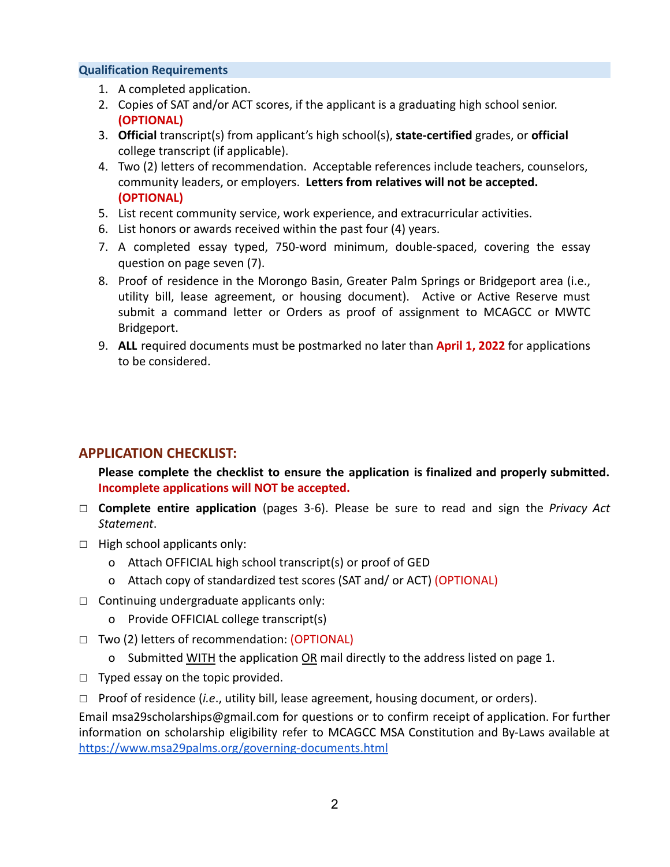## **Qualification Requirements**

- 1. A completed application.
- 2. Copies of SAT and/or ACT scores, if the applicant is a graduating high school senior. **(OPTIONAL)**
- 3. **Official** transcript(s) from applicant's high school(s), **state-certified** grades, or **official** college transcript (if applicable).
- 4. Two (2) letters of recommendation. Acceptable references include teachers, counselors, community leaders, or employers. **Letters from relatives will not be accepted. (OPTIONAL)**
- 5. List recent community service, work experience, and extracurricular activities.
- 6. List honors or awards received within the past four (4) years.
- 7. A completed essay typed, 750-word minimum, double-spaced, covering the essay question on page seven (7).
- 8. Proof of residence in the Morongo Basin, Greater Palm Springs or Bridgeport area (i.e., utility bill, lease agreement, or housing document). Active or Active Reserve must submit a command letter or Orders as proof of assignment to MCAGCC or MWTC Bridgeport.
- 9. **ALL** required documents must be postmarked no later than **April 1, 2022** for applications to be considered.

# **APPLICATION CHECKLIST:**

**Please complete the checklist to ensure the application is finalized and properly submitted. Incomplete applications will NOT be accepted.**

- □ **Complete entire application** (pages 3-6). Please be sure to read and sign the *Privacy Act Statement*.
- □ High school applicants only:
	- o Attach OFFICIAL high school transcript(s) or proof of GED
	- o Attach copy of standardized test scores (SAT and/ or ACT) (OPTIONAL)
- $\Box$  Continuing undergraduate applicants only:
	- o Provide OFFICIAL college transcript(s)
- □ Two (2) letters of recommendation: (OPTIONAL)
	- o Submitted WITH the application OR mail directly to the address listed on page 1.
- $\Box$  Typed essay on the topic provided.
- □ Proof of residence (*i.e*., utility bill, lease agreement, housing document, or orders).

Email [msa29scholarships@gmail.com](mailto:msa29scholarships@gmail.com) for questions or to confirm receipt of application. For further information on scholarship eligibility refer to MCAGCC MSA Constitution and By-Laws available at <https://www.msa29palms.org/governing-documents.html>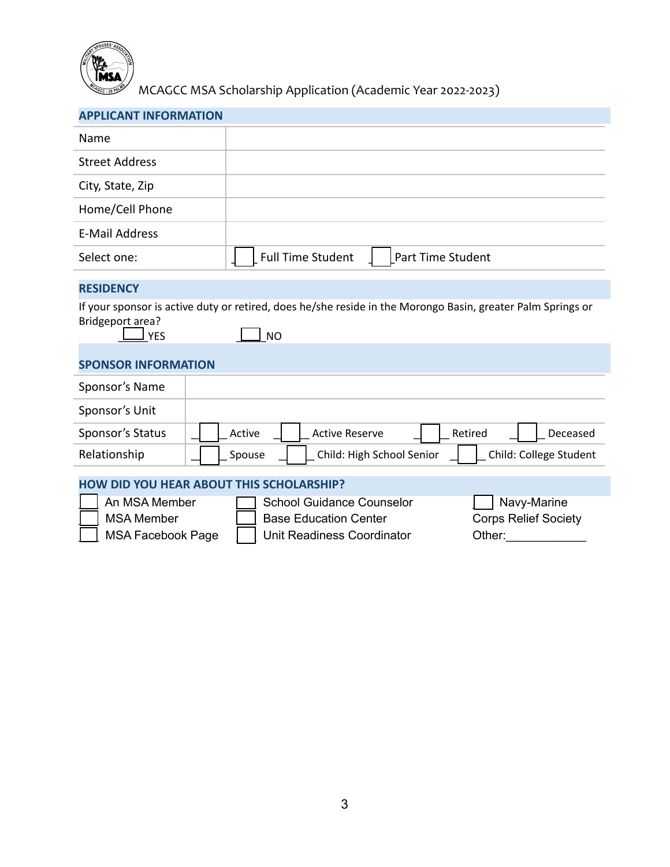

MCAGCC MSA Scholarship Application (Academic Year 2022-2023)

|  | <b>APPLICANT INFORMATION</b> |  |
|--|------------------------------|--|

| Name                                                                                                                                                                                                                     |                                                               |  |  |
|--------------------------------------------------------------------------------------------------------------------------------------------------------------------------------------------------------------------------|---------------------------------------------------------------|--|--|
| <b>Street Address</b>                                                                                                                                                                                                    |                                                               |  |  |
| City, State, Zip                                                                                                                                                                                                         |                                                               |  |  |
| Home/Cell Phone                                                                                                                                                                                                          |                                                               |  |  |
| <b>E-Mail Address</b>                                                                                                                                                                                                    |                                                               |  |  |
| Select one:                                                                                                                                                                                                              | <b>Full Time Student</b><br>Part Time Student                 |  |  |
| <b>RESIDENCY</b>                                                                                                                                                                                                         |                                                               |  |  |
| If your sponsor is active duty or retired, does he/she reside in the Morongo Basin, greater Palm Springs or<br>Bridgeport area?<br><b>YES</b><br><b>NO</b>                                                               |                                                               |  |  |
| <b>SPONSOR INFORMATION</b>                                                                                                                                                                                               |                                                               |  |  |
| Sponsor's Name                                                                                                                                                                                                           |                                                               |  |  |
| Sponsor's Unit                                                                                                                                                                                                           |                                                               |  |  |
| Sponsor's Status                                                                                                                                                                                                         | <b>Active Reserve</b><br>Retired<br>Active<br>Deceased        |  |  |
| Relationship                                                                                                                                                                                                             | Child: College Student<br>Child: High School Senior<br>Spouse |  |  |
| <b>HOW DID YOU HEAR ABOUT THIS SCHOLARSHIP?</b>                                                                                                                                                                          |                                                               |  |  |
| An MSA Member<br>Navy-Marine<br><b>School Guidance Counselor</b><br><b>MSA Member</b><br><b>Base Education Center</b><br><b>Corps Relief Society</b><br><b>MSA Facebook Page</b><br>Unit Readiness Coordinator<br>Other: |                                                               |  |  |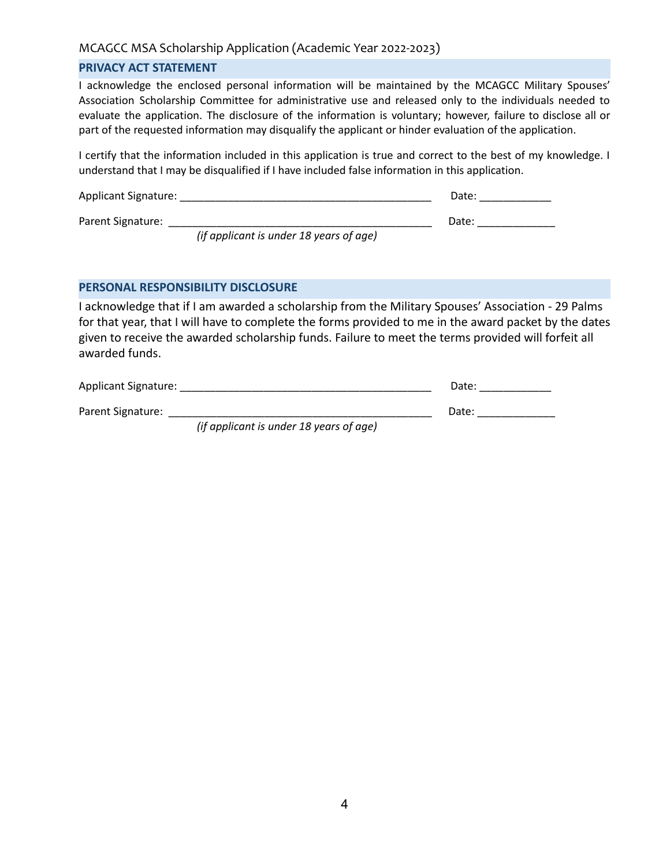### MCAGCC MSA Scholarship Application (Academic Year 2022-2023)

#### **PRIVACY ACT STATEMENT**

I acknowledge the enclosed personal information will be maintained by the MCAGCC Military Spouses' Association Scholarship Committee for administrative use and released only to the individuals needed to evaluate the application. The disclosure of the information is voluntary; however, failure to disclose all or part of the requested information may disqualify the applicant or hinder evaluation of the application.

I certify that the information included in this application is true and correct to the best of my knowledge. I understand that I may be disqualified if I have included false information in this application.

| Applicant Signature: | Date: |  |
|----------------------|-------|--|
| Parent Signature:    | Date: |  |

*(if applicant is under 18 years of age)*

#### **PERSONAL RESPONSIBILITY DISCLOSURE**

I acknowledge that if I am awarded a scholarship from the Military Spouses' Association - 29 Palms for that year, that I will have to complete the forms provided to me in the award packet by the dates given to receive the awarded scholarship funds. Failure to meet the terms provided will forfeit all awarded funds.

Applicant Signature: \_\_\_\_\_\_\_\_\_\_\_\_\_\_\_\_\_\_\_\_\_\_\_\_\_\_\_\_\_\_\_\_\_\_\_\_\_\_\_\_\_\_ Date: \_\_\_\_\_\_\_\_\_\_\_\_

Parent Signature: \_\_\_\_\_\_\_\_\_\_\_\_\_\_\_\_\_\_\_\_\_\_\_\_\_\_\_\_\_\_\_\_\_\_\_\_\_\_\_\_\_\_\_\_ Date: \_\_\_\_\_\_\_\_\_\_\_\_\_

*(if applicant is under 18 years of age)*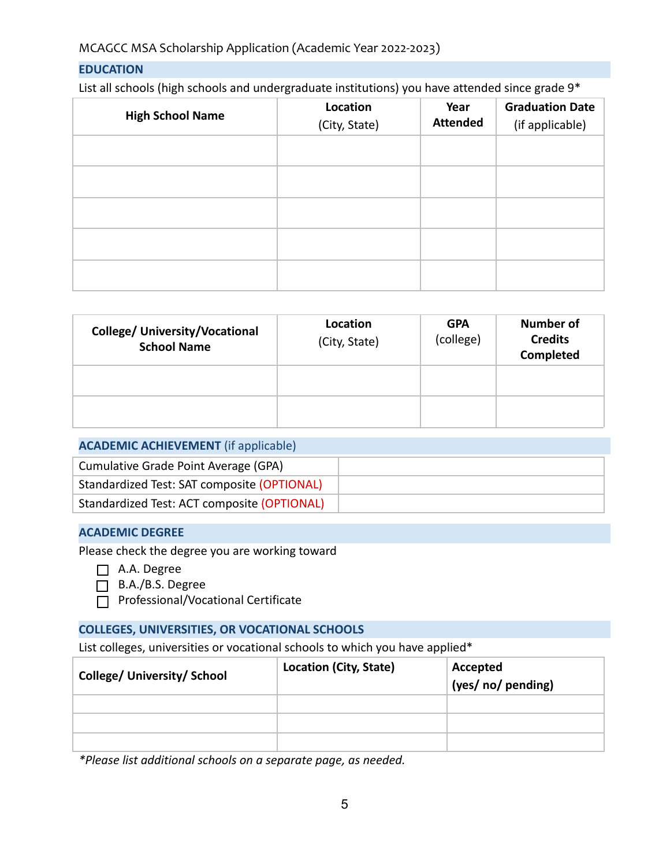## **EDUCATION**

List all schools (high schools and undergraduate institutions) you have attended since grade 9\*

| <b>High School Name</b> | Location<br>(City, State) | Year<br><b>Attended</b> | <b>Graduation Date</b><br>(if applicable) |
|-------------------------|---------------------------|-------------------------|-------------------------------------------|
|                         |                           |                         |                                           |
|                         |                           |                         |                                           |
|                         |                           |                         |                                           |
|                         |                           |                         |                                           |
|                         |                           |                         |                                           |

| <b>College/ University/Vocational</b><br><b>School Name</b> | Location<br>(City, State) | <b>GPA</b><br>(college) | <b>Number of</b><br><b>Credits</b><br><b>Completed</b> |
|-------------------------------------------------------------|---------------------------|-------------------------|--------------------------------------------------------|
|                                                             |                           |                         |                                                        |
|                                                             |                           |                         |                                                        |

## **ACADEMIC ACHIEVEMENT** (if applicable)

| Cumulative Grade Point Average (GPA)        |  |
|---------------------------------------------|--|
| Standardized Test: SAT composite (OPTIONAL) |  |
| Standardized Test: ACT composite (OPTIONAL) |  |

#### **ACADEMIC DEGREE**

Please check the degree you are working toward

- $\Box$  A.A. Degree
- $\Box$  B.A./B.S. Degree
- □ Professional/Vocational Certificate

#### **COLLEGES, UNIVERSITIES, OR VOCATIONAL SCHOOLS**

List colleges, universities or vocational schools to which you have applied\*

| <b>College/ University/ School</b> | Location (City, State) | Accepted<br>(yes/ no/ pending) |
|------------------------------------|------------------------|--------------------------------|
|                                    |                        |                                |
|                                    |                        |                                |
|                                    |                        |                                |

*\*Please list additional schools on a separate page, as needed.*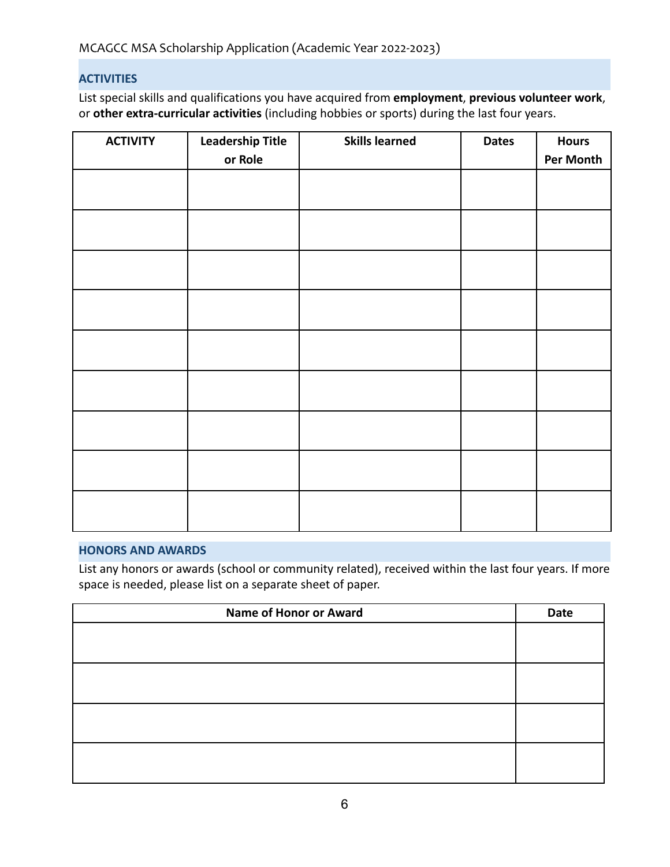# **ACTIVITIES**

List special skills and qualifications you have acquired from **employment**, **previous volunteer work**, or **other extra-curricular activities** (including hobbies or sports) during the last four years.

| <b>ACTIVITY</b> | <b>Leadership Title</b><br>or Role | <b>Skills learned</b> | <b>Dates</b> | <b>Hours</b><br>Per Month |
|-----------------|------------------------------------|-----------------------|--------------|---------------------------|
|                 |                                    |                       |              |                           |
|                 |                                    |                       |              |                           |
|                 |                                    |                       |              |                           |
|                 |                                    |                       |              |                           |
|                 |                                    |                       |              |                           |
|                 |                                    |                       |              |                           |
|                 |                                    |                       |              |                           |
|                 |                                    |                       |              |                           |
|                 |                                    |                       |              |                           |

# **HONORS AND AWARDS**

List any honors or awards (school or community related), received within the last four years. If more space is needed, please list on a separate sheet of paper.

| <b>Name of Honor or Award</b> | Date |
|-------------------------------|------|
|                               |      |
|                               |      |
|                               |      |
|                               |      |
|                               |      |
|                               |      |
|                               |      |
|                               |      |